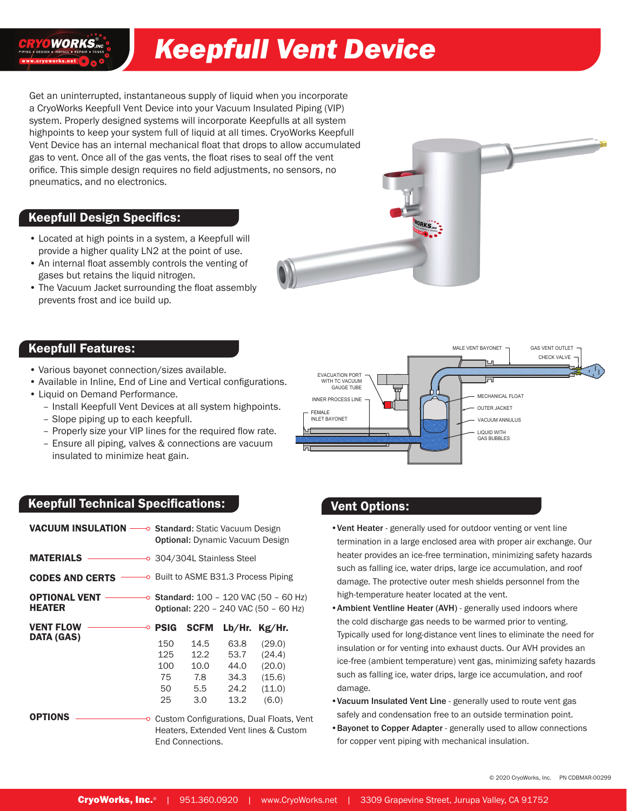# *Keepfull Vent Device*

Get an uninterrupted, instantaneous supply of liquid when you incorporate a CryoWorks Keepfull Vent Device into your Vacuum Insulated Piping (VIP) system. Properly designed systems will incorporate Keepfulls at all system highpoints to keep your system full of liquid at all times. CryoWorks Keepfull Vent Device has an internal mechanical float that drops to allow accumulated gas to vent. Once all of the gas vents, the float rises to seal off the vent orifice. This simple design requires no field adjustments, no sensors, no pneumatics, and no electronics.

#### Keepfull Design Specifics:

OWORKS.

- Located at high points in a system, a Keepfull will provide a higher quality LN2 at the point of use.
- An internal float assembly controls the venting of gases but retains the liquid nitrogen. |<br>|<br>|<br>|<br>|<br>|
- The Vacuum Jacket surrounding the float assembly prevents frost and ice build up.



### Keepfull Features:

- Various bayonet connection/sizes available.
- Available in Inline, End of Line and Vertical configurations.
- Liquid on Demand Performance.
	- ‒ Install Keepfull Vent Devices at all system highpoints.
	- ‒ Slope piping up to each keepfull.
	- ‒ Properly size your VIP lines for the required flow rate.
	- ‒ Ensure all piping, valves & connections are vacuum insulated to minimize heat gain.

## Keepfull Technical Specifications:

| <b>Keepfull Technical Specifications:</b>                                     |                               |                                        |          |                                                                                                       |  |  |
|-------------------------------------------------------------------------------|-------------------------------|----------------------------------------|----------|-------------------------------------------------------------------------------------------------------|--|--|
| VACUUM INSULATION - Standard: Static Vacuum Design                            |                               | <b>Optional:</b> Dynamic Vacuum Design |          |                                                                                                       |  |  |
| <b>MATERIALS</b>                                                              | ──── 304/304L Stainless Steel |                                        |          |                                                                                                       |  |  |
| <b>CODES AND CERTS CODES AND CERTS CODES</b> AND CERTS <b>CODES</b> AND CERTS |                               |                                        |          |                                                                                                       |  |  |
| <b>OPTIONAL VENT --</b><br><b>HEATER</b>                                      |                               |                                        |          | $\longrightarrow$ Standard: 100 - 120 VAC (50 - 60 Hz)<br><b>Optional:</b> 220 - 240 VAC (50 - 60 Hz) |  |  |
| <b>VENT FLOW ——</b><br>O                                                      | <b>PSIG</b>                   | <b>SCFM</b>                            | Lb/Hr.   | Kg/Hr.                                                                                                |  |  |
| <b>DATA (GAS)</b>                                                             | 150                           | 14.5                                   | 63.8     | (29.0)                                                                                                |  |  |
|                                                                               |                               | 125 12.2                               |          | $53.7$ $(24.4)$                                                                                       |  |  |
|                                                                               |                               | 100 10.0 44.0 (20.0)                   |          |                                                                                                       |  |  |
|                                                                               |                               | 75 7.8 34.3                            |          | (15.6)                                                                                                |  |  |
|                                                                               | 50                            |                                        | 5.5 24.2 | (11.0)                                                                                                |  |  |
|                                                                               | 25                            | 3.0 <sub>1</sub>                       | 13.2     | (6.0)                                                                                                 |  |  |
| <b>OPTIONS</b>                                                                |                               |                                        |          | <b>○</b> Custom Configurations, Dual Floats, Vent<br>Heaters, Extended Vent lines & Custom            |  |  |
|                                                                               |                               | End Connections.                       |          |                                                                                                       |  |  |

#### Vent Options:

- •Vent Heater generally used for outdoor venting or vent line termination in a large enclosed area with proper air exchange. Our heater provides an ice-free termination, minimizing safety hazards such as falling ice, water drips, large ice accumulation, and roof damage. The protective outer mesh shields personnel from the high-temperature heater located at the vent.
- Ambient Ventline Heater (AVH) generally used indoors where the cold discharge gas needs to be warmed prior to venting. Typically used for long-distance vent lines to eliminate the need for and the set of the contring of the state that the state of the state of the state is an insulation or for venting into exhaust ducts. Our AVH provides an ice-free (ambient temperature) vent gas, minimizing safety hazards such as falling ice, water drips, large ice accumulation, and roof damage. venti oors
- •Vacuum Insulated Vent Line generally used to route vent gas safely and condensation free to an outside termination point.
- •Bayonet to Copper Adapter generally used to allow connections for copper vent piping with mechanical insulation.

© 2020 CryoWorks, Inc. PN CDBMAR-00299